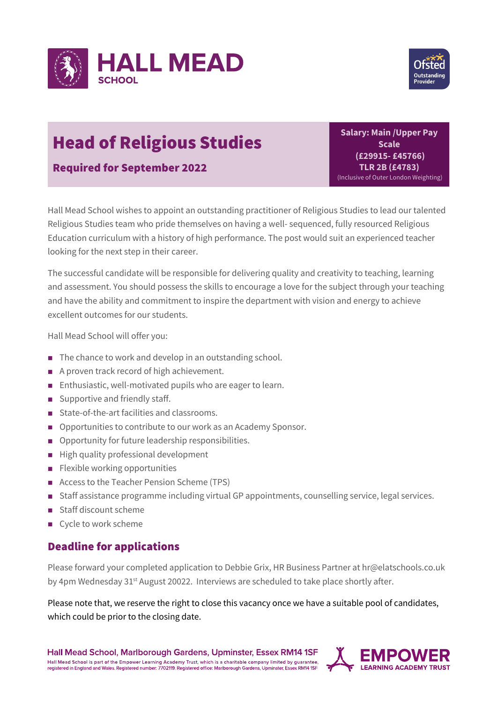



## Head of Religious Studies

Required for September 2022

**Salary: Main /Upper Pay Scale (£29915- £45766) TLR 2B (£4783)** (Inclusive of Outer London Weighting)

Hall Mead School wishes to appoint an outstanding practitioner of Religious Studies to lead our talented Religious Studies team who pride themselves on having a well- sequenced, fully resourced Religious Education curriculum with a history of high performance. The post would suit an experienced teacher looking for the next step in their career.

The successful candidate will be responsible for delivering quality and creativity to teaching, learning and assessment. You should possess the skills to encourage a love for the subject through your teaching and have the ability and commitment to inspire the department with vision and energy to achieve excellent outcomes for our students.

Hall Mead School will offer you:

- The chance to work and develop in an outstanding school.
- A proven track record of high achievement.
- Enthusiastic, well-motivated pupils who are eager to learn.
- $\Box$  Supportive and friendly staff.
- State-of-the-art facilities and classrooms.
- Opportunities to contribute to our work as an Academy Sponsor.
- **n** Opportunity for future leadership responsibilities.
- High quality professional development
- **n** Flexible working opportunities
- Access to the Teacher Pension Scheme (TPS)
- Staff assistance programme including virtual GP appointments, counselling service, legal services.
- staff discount scheme
- $\blacksquare$  Cycle to work scheme

## Deadline for applications

Please forward your completed application to Debbie Grix, HR Business Partner at hr@elatschools.co.uk by 4pm Wednesday 31<sup>st</sup> August 20022. Interviews are scheduled to take place shortly after.

Please note that, we reserve the right to close this vacancy once we have a suitable pool of candidates, which could be prior to the closing date.